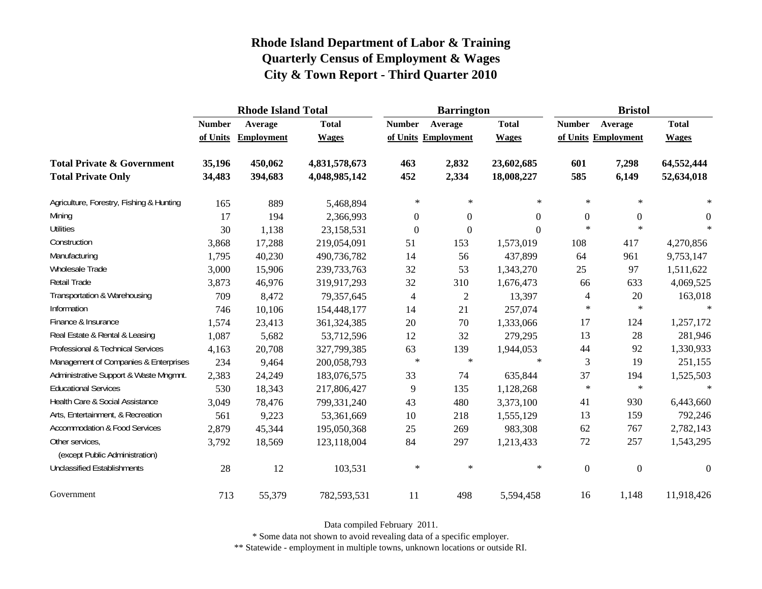|                                                   |               | <b>Rhode Island Total</b> |               |                  | <b>Barrington</b>   |              | <b>Bristol</b>   |                     |              |  |
|---------------------------------------------------|---------------|---------------------------|---------------|------------------|---------------------|--------------|------------------|---------------------|--------------|--|
|                                                   | <b>Number</b> | Average                   | <b>Total</b>  | <b>Number</b>    | Average             | <b>Total</b> | <b>Number</b>    | Average             | <b>Total</b> |  |
|                                                   | of Units      | Employment                | <b>Wages</b>  |                  | of Units Employment | <b>Wages</b> |                  | of Units Employment | <b>Wages</b> |  |
| <b>Total Private &amp; Government</b>             | 35,196        | 450,062                   | 4,831,578,673 | 463              | 2,832               | 23,602,685   | 601              | 7,298               | 64,552,444   |  |
| <b>Total Private Only</b>                         | 34,483        | 394,683                   | 4,048,985,142 | 452              | 2,334               | 18,008,227   | 585              | 6,149               | 52,634,018   |  |
| Agriculture, Forestry, Fishing & Hunting          | 165           | 889                       | 5,468,894     | $\ast$           | $\ast$              | $\ast$       | $\ast$           | $\ast$              | $\ast$       |  |
| Mining                                            | 17            | 194                       | 2,366,993     | $\boldsymbol{0}$ | $\theta$            | $\Omega$     | $\boldsymbol{0}$ | $\boldsymbol{0}$    | $\theta$     |  |
| <b>Utilities</b>                                  | 30            | 1,138                     | 23,158,531    | $\boldsymbol{0}$ | $\mathbf{0}$        | $\Omega$     | $\star$          | $\star$             | $\ast$       |  |
| Construction                                      | 3,868         | 17,288                    | 219,054,091   | 51               | 153                 | 1,573,019    | 108              | 417                 | 4,270,856    |  |
| Manufacturing                                     | 1,795         | 40,230                    | 490,736,782   | 14               | 56                  | 437,899      | 64               | 961                 | 9,753,147    |  |
| Wholesale Trade                                   | 3,000         | 15,906                    | 239,733,763   | 32               | 53                  | 1,343,270    | 25               | 97                  | 1,511,622    |  |
| Retail Trade                                      | 3,873         | 46,976                    | 319,917,293   | 32               | 310                 | 1,676,473    | 66               | 633                 | 4,069,525    |  |
| Transportation & Warehousing                      | 709           | 8,472                     | 79,357,645    | $\overline{4}$   | $\mathfrak{2}$      | 13,397       | 4                | 20                  | 163,018      |  |
| Information                                       | 746           | 10,106                    | 154,448,177   | 14               | 21                  | 257,074      | $\ast$           | $\ast$              | $\ast$       |  |
| Finance & Insurance                               | 1,574         | 23,413                    | 361,324,385   | 20               | 70                  | 1,333,066    | 17               | 124                 | 1,257,172    |  |
| Real Estate & Rental & Leasing                    | 1,087         | 5,682                     | 53,712,596    | 12               | 32                  | 279,295      | 13               | 28                  | 281,946      |  |
| Professional & Technical Services                 | 4,163         | 20,708                    | 327,799,385   | 63               | 139                 | 1,944,053    | 44               | 92                  | 1,330,933    |  |
| Management of Companies & Enterprises             | 234           | 9,464                     | 200,058,793   | $\ast$           | $\ast$              | $\ast$       | 3                | 19                  | 251,155      |  |
| Administrative Support & Waste Mngmnt.            | 2,383         | 24,249                    | 183,076,575   | 33               | 74                  | 635,844      | 37               | 194                 | 1,525,503    |  |
| <b>Educational Services</b>                       | 530           | 18,343                    | 217,806,427   | 9                | 135                 | 1,128,268    | $\ast$           | $\ast$              | $\ast$       |  |
| Health Care & Social Assistance                   | 3,049         | 78,476                    | 799,331,240   | 43               | 480                 | 3,373,100    | 41               | 930                 | 6,443,660    |  |
| Arts, Entertainment, & Recreation                 | 561           | 9,223                     | 53,361,669    | 10               | 218                 | 1,555,129    | 13               | 159                 | 792,246      |  |
| <b>Accommodation &amp; Food Services</b>          | 2,879         | 45,344                    | 195,050,368   | 25               | 269                 | 983,308      | 62               | 767                 | 2,782,143    |  |
| Other services,<br>(except Public Administration) | 3,792         | 18,569                    | 123,118,004   | 84               | 297                 | 1,213,433    | 72               | 257                 | 1,543,295    |  |
| <b>Unclassified Establishments</b>                | 28            | 12                        | 103,531       | $\ast$           | $\star$             | $\ast$       | $\mathbf{0}$     | $\boldsymbol{0}$    | $\theta$     |  |
| Government                                        | 713           | 55,379                    | 782,593,531   | 11               | 498                 | 5,594,458    | 16               | 1,148               | 11,918,426   |  |

Data compiled February 2011.

\* Some data not shown to avoid revealing data of a specific employer.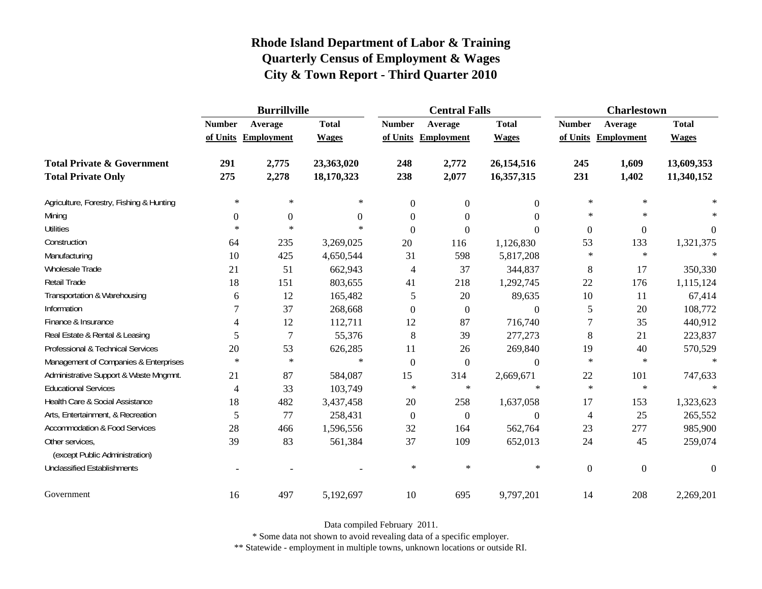|                                          | <b>Burrillville</b> |                     |              |                | <b>Central Falls</b> |                  | <b>Charlestown</b> |                     |                |
|------------------------------------------|---------------------|---------------------|--------------|----------------|----------------------|------------------|--------------------|---------------------|----------------|
|                                          | <b>Number</b>       | Average             | <b>Total</b> | <b>Number</b>  | Average              | <b>Total</b>     | <b>Number</b>      | Average             | <b>Total</b>   |
|                                          |                     | of Units Employment | <b>Wages</b> |                | of Units Employment  | <b>Wages</b>     |                    | of Units Employment | <b>Wages</b>   |
| <b>Total Private &amp; Government</b>    | 291                 | 2,775               | 23,363,020   | 248            | 2,772                | 26,154,516       | 245                | 1,609               | 13,609,353     |
| <b>Total Private Only</b>                | 275                 | 2,278               | 18,170,323   | 238            | 2,077                | 16,357,315       | 231                | 1,402               | 11,340,152     |
| Agriculture, Forestry, Fishing & Hunting | ∗                   | ∗                   | $\ast$       | $\mathbf{0}$   | $\mathbf{0}$         | $\overline{0}$   | $\ast$             | $\ast$              |                |
| Mining                                   | $\boldsymbol{0}$    | $\boldsymbol{0}$    | $\Omega$     | $\theta$       | $\Omega$             | $\Omega$         | $\ast$             | $\ast$              |                |
| <b>Utilities</b>                         | $\ast$              | $\ast$              | $\ast$       | $\Omega$       | $\Omega$             | $\theta$         | $\boldsymbol{0}$   | $\boldsymbol{0}$    | $\overline{0}$ |
| Construction                             | 64                  | 235                 | 3,269,025    | 20             | 116                  | 1,126,830        | 53                 | 133                 | 1,321,375      |
| Manufacturing                            | 10                  | 425                 | 4,650,544    | 31             | 598                  | 5,817,208        | $\ast$             | $\ast$              |                |
| Wholesale Trade                          | 21                  | 51                  | 662,943      | $\overline{4}$ | 37                   | 344,837          | 8                  | 17                  | 350,330        |
| Retail Trade                             | 18                  | 151                 | 803,655      | 41             | 218                  | 1,292,745        | 22                 | 176                 | 1,115,124      |
| Transportation & Warehousing             | 6                   | 12                  | 165,482      | 5              | 20                   | 89,635           | $10\,$             | 11                  | 67,414         |
| Information                              |                     | 37                  | 268,668      | $\theta$       | $\mathbf{0}$         | $\boldsymbol{0}$ | 5                  | 20                  | 108,772        |
| Finance & Insurance                      | 4                   | 12                  | 112,711      | 12             | 87                   | 716,740          | $\tau$             | 35                  | 440,912        |
| Real Estate & Rental & Leasing           | 5                   | $\overline{7}$      | 55,376       | 8              | 39                   | 277,273          | 8                  | 21                  | 223,837        |
| Professional & Technical Services        | 20                  | 53                  | 626,285      | 11             | 26                   | 269,840          | 19                 | 40                  | 570,529        |
| Management of Companies & Enterprises    | $\ast$              | $\ast$              | $\ast$       | $\Omega$       | $\boldsymbol{0}$     | $\theta$         | $\ast$             | $\ast$              | $\ast$         |
| Administrative Support & Waste Mngmnt.   | 21                  | 87                  | 584,087      | 15             | 314                  | 2,669,671        | 22                 | 101                 | 747,633        |
| <b>Educational Services</b>              | $\overline{4}$      | 33                  | 103,749      | $\ast$         | $\ast$               | $\ast$           | $\ast$             | $\ast$              |                |
| Health Care & Social Assistance          | 18                  | 482                 | 3,437,458    | 20             | 258                  | 1,637,058        | 17                 | 153                 | 1,323,623      |
| Arts, Entertainment, & Recreation        | 5                   | 77                  | 258,431      | $\mathbf{0}$   | $\boldsymbol{0}$     | $\boldsymbol{0}$ | $\overline{4}$     | 25                  | 265,552        |
| <b>Accommodation &amp; Food Services</b> | 28                  | 466                 | 1,596,556    | 32             | 164                  | 562,764          | 23                 | 277                 | 985,900        |
| Other services,                          | 39                  | 83                  | 561,384      | 37             | 109                  | 652,013          | 24                 | 45                  | 259,074        |
| (except Public Administration)           |                     |                     |              |                |                      |                  |                    |                     |                |
| <b>Unclassified Establishments</b>       |                     |                     |              | $\ast$         | $\ast$               | $\ast$           | $\boldsymbol{0}$   | $\mathbf{0}$        | $\theta$       |
| Government                               | 16                  | 497                 | 5,192,697    | 10             | 695                  | 9,797,201        | 14                 | 208                 | 2,269,201      |

Data compiled February 2011.

\* Some data not shown to avoid revealing data of a specific employer.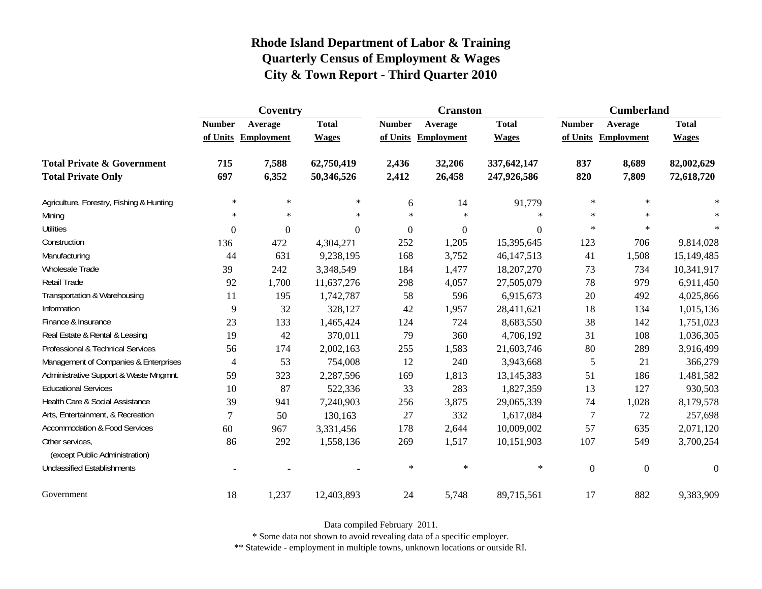|                                                   | Coventry       |                     |                  |                | <b>Cranston</b>     |              | <b>Cumberland</b> |                     |              |
|---------------------------------------------------|----------------|---------------------|------------------|----------------|---------------------|--------------|-------------------|---------------------|--------------|
|                                                   | <b>Number</b>  | Average             | <b>Total</b>     | <b>Number</b>  | Average             | <b>Total</b> | <b>Number</b>     | Average             | <b>Total</b> |
|                                                   |                | of Units Employment | <b>Wages</b>     |                | of Units Employment | <b>Wages</b> |                   | of Units Employment | <b>Wages</b> |
| <b>Total Private &amp; Government</b>             | 715            | 7,588               | 62,750,419       | 2,436          | 32,206              | 337,642,147  | 837               | 8,689               | 82,002,629   |
| <b>Total Private Only</b>                         | 697            | 6,352               | 50,346,526       | 2,412          | 26,458              | 247,926,586  | 820               | 7,809               | 72,618,720   |
| Agriculture, Forestry, Fishing & Hunting          | $\ast$         | $\ast$              | ∗                | 6              | 14                  | 91,779       | $\ast$            | $\ast$              |              |
| Mining                                            | $\ast$         | $\ast$              | $\ast$           | $\star$        | $\ast$              | $\ast$       | $\ast$            | $\star$             |              |
| <b>Utilities</b>                                  | $\overline{0}$ | $\boldsymbol{0}$    | $\boldsymbol{0}$ | $\overline{0}$ | $\boldsymbol{0}$    | $\Omega$     | $\ast$            | $\star$             | $\ast$       |
| Construction                                      | 136            | 472                 | 4,304,271        | 252            | 1,205               | 15,395,645   | 123               | 706                 | 9,814,028    |
| Manufacturing                                     | 44             | 631                 | 9,238,195        | 168            | 3,752               | 46, 147, 513 | 41                | 1,508               | 15,149,485   |
| Wholesale Trade                                   | 39             | 242                 | 3,348,549        | 184            | 1,477               | 18,207,270   | 73                | 734                 | 10,341,917   |
| <b>Retail Trade</b>                               | 92             | 1,700               | 11,637,276       | 298            | 4,057               | 27,505,079   | 78                | 979                 | 6,911,450    |
| Transportation & Warehousing                      | 11             | 195                 | 1,742,787        | 58             | 596                 | 6,915,673    | 20                | 492                 | 4,025,866    |
| Information                                       | 9              | 32                  | 328,127          | 42             | 1,957               | 28,411,621   | 18                | 134                 | 1,015,136    |
| Finance & Insurance                               | 23             | 133                 | 1,465,424        | 124            | 724                 | 8,683,550    | 38                | 142                 | 1,751,023    |
| Real Estate & Rental & Leasing                    | 19             | 42                  | 370,011          | 79             | 360                 | 4,706,192    | 31                | 108                 | 1,036,305    |
| Professional & Technical Services                 | 56             | 174                 | 2,002,163        | 255            | 1,583               | 21,603,746   | 80                | 289                 | 3,916,499    |
| Management of Companies & Enterprises             | $\overline{4}$ | 53                  | 754,008          | 12             | 240                 | 3,943,668    | $\sqrt{5}$        | 21                  | 366,279      |
| Administrative Support & Waste Mngmnt.            | 59             | 323                 | 2,287,596        | 169            | 1,813               | 13,145,383   | 51                | 186                 | 1,481,582    |
| <b>Educational Services</b>                       | 10             | 87                  | 522,336          | 33             | 283                 | 1,827,359    | 13                | 127                 | 930,503      |
| Health Care & Social Assistance                   | 39             | 941                 | 7,240,903        | 256            | 3,875               | 29,065,339   | 74                | 1,028               | 8,179,578    |
| Arts, Entertainment, & Recreation                 | 7              | 50                  | 130,163          | $27\,$         | 332                 | 1,617,084    | 7                 | 72                  | 257,698      |
| <b>Accommodation &amp; Food Services</b>          | 60             | 967                 | 3,331,456        | 178            | 2,644               | 10,009,002   | 57                | 635                 | 2,071,120    |
| Other services,<br>(except Public Administration) | 86             | 292                 | 1,558,136        | 269            | 1,517               | 10,151,903   | 107               | 549                 | 3,700,254    |
| <b>Unclassified Establishments</b>                |                |                     |                  | $\ast$         | $\ast$              | $\ast$       | $\boldsymbol{0}$  | $\overline{0}$      | $\theta$     |
| Government                                        | 18             | 1,237               | 12,403,893       | 24             | 5,748               | 89,715,561   | 17                | 882                 | 9,383,909    |

Data compiled February 2011.

\* Some data not shown to avoid revealing data of a specific employer.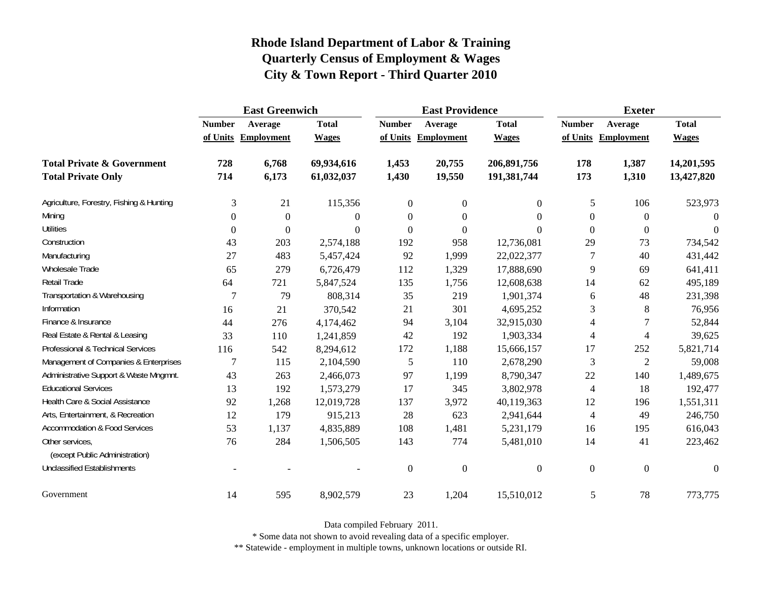|                                                   | <b>East Greenwich</b> |                     |                  |                  | <b>East Providence</b> |                | <b>Exeter</b>    |                     |              |
|---------------------------------------------------|-----------------------|---------------------|------------------|------------------|------------------------|----------------|------------------|---------------------|--------------|
|                                                   | <b>Number</b>         | Average             | <b>Total</b>     | <b>Number</b>    | Average                | <b>Total</b>   | <b>Number</b>    | Average             | <b>Total</b> |
|                                                   |                       | of Units Employment | <b>Wages</b>     |                  | of Units Employment    | <b>Wages</b>   |                  | of Units Employment | <b>Wages</b> |
| <b>Total Private &amp; Government</b>             | 728                   | 6,768               | 69,934,616       | 1,453            | 20,755                 | 206,891,756    | 178              | 1,387               | 14,201,595   |
| <b>Total Private Only</b>                         | 714                   | 6,173               | 61,032,037       | 1,430            | 19,550                 | 191,381,744    | 173              | 1,310               | 13,427,820   |
| Agriculture, Forestry, Fishing & Hunting          | 3                     | 21                  | 115,356          | $\boldsymbol{0}$ | $\boldsymbol{0}$       | $\overline{0}$ | 5                | 106                 | 523,973      |
| Mining                                            | $\Omega$              | $\mathbf{0}$        | $\Omega$         | $\Omega$         | $\theta$               | $\Omega$       | $\boldsymbol{0}$ | $\overline{0}$      | $\Omega$     |
| <b>Utilities</b>                                  | $\boldsymbol{0}$      | $\theta$            | $\boldsymbol{0}$ | $\overline{0}$   | $\boldsymbol{0}$       | $\Omega$       | $\mathbf{0}$     | $\overline{0}$      | $\theta$     |
| Construction                                      | 43                    | 203                 | 2,574,188        | 192              | 958                    | 12,736,081     | 29               | 73                  | 734,542      |
| Manufacturing                                     | 27                    | 483                 | 5,457,424        | 92               | 1,999                  | 22,022,377     | 7                | 40                  | 431,442      |
| Wholesale Trade                                   | 65                    | 279                 | 6,726,479        | 112              | 1,329                  | 17,888,690     | 9                | 69                  | 641,411      |
| Retail Trade                                      | 64                    | 721                 | 5,847,524        | 135              | 1,756                  | 12,608,638     | 14               | 62                  | 495,189      |
| Transportation & Warehousing                      | $\overline{7}$        | 79                  | 808,314          | 35               | 219                    | 1,901,374      | 6                | 48                  | 231,398      |
| Information                                       | 16                    | 21                  | 370,542          | 21               | 301                    | 4,695,252      | 3                | 8                   | 76,956       |
| Finance & Insurance                               | 44                    | 276                 | 4,174,462        | 94               | 3,104                  | 32,915,030     | 4                | 7                   | 52,844       |
| Real Estate & Rental & Leasing                    | 33                    | 110                 | 1,241,859        | 42               | 192                    | 1,903,334      | $\overline{4}$   | $\overline{4}$      | 39,625       |
| Professional & Technical Services                 | 116                   | 542                 | 8,294,612        | 172              | 1,188                  | 15,666,157     | 17               | 252                 | 5,821,714    |
| Management of Companies & Enterprises             | $\overline{7}$        | 115                 | 2,104,590        | 5                | 110                    | 2,678,290      | 3                | $\overline{2}$      | 59,008       |
| Administrative Support & Waste Mngmnt.            | 43                    | 263                 | 2,466,073        | 97               | 1,199                  | 8,790,347      | 22               | 140                 | 1,489,675    |
| <b>Educational Services</b>                       | 13                    | 192                 | 1,573,279        | 17               | 345                    | 3,802,978      | $\overline{4}$   | 18                  | 192,477      |
| Health Care & Social Assistance                   | 92                    | 1,268               | 12,019,728       | 137              | 3,972                  | 40,119,363     | 12               | 196                 | 1,551,311    |
| Arts, Entertainment, & Recreation                 | 12                    | 179                 | 915,213          | 28               | 623                    | 2,941,644      | $\overline{4}$   | 49                  | 246,750      |
| <b>Accommodation &amp; Food Services</b>          | 53                    | 1,137               | 4,835,889        | 108              | 1,481                  | 5,231,179      | 16               | 195                 | 616,043      |
| Other services,<br>(except Public Administration) | 76                    | 284                 | 1,506,505        | 143              | 774                    | 5,481,010      | 14               | 41                  | 223,462      |
| <b>Unclassified Establishments</b>                |                       |                     |                  | $\mathbf{0}$     | $\boldsymbol{0}$       | $\overline{0}$ | $\boldsymbol{0}$ | $\boldsymbol{0}$    | $\theta$     |
| Government                                        | 14                    | 595                 | 8,902,579        | 23               | 1,204                  | 15,510,012     | 5                | 78                  | 773,775      |

Data compiled February 2011.

\* Some data not shown to avoid revealing data of a specific employer.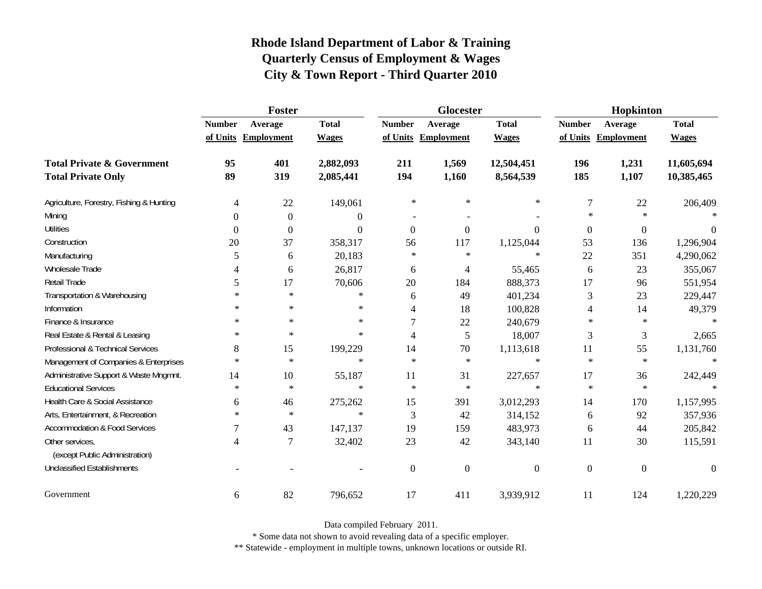|                                                   |                          | Foster              |                |                | Glocester           |                | Hopkinton        |                     |              |
|---------------------------------------------------|--------------------------|---------------------|----------------|----------------|---------------------|----------------|------------------|---------------------|--------------|
|                                                   | <b>Number</b>            | Average             | <b>Total</b>   | <b>Number</b>  | Average             | <b>Total</b>   | <b>Number</b>    | Average             | <b>Total</b> |
|                                                   |                          | of Units Employment | <b>Wages</b>   |                | of Units Employment | <b>Wages</b>   |                  | of Units Employment | <b>Wages</b> |
| <b>Total Private &amp; Government</b>             | 95                       | 401                 | 2,882,093      | 211            | 1,569               | 12,504,451     | 196              | 1,231               | 11,605,694   |
| <b>Total Private Only</b>                         | 89                       | 319                 | 2,085,441      | 194            | 1,160               | 8,564,539      | 185              | 1,107               | 10,385,465   |
| Agriculture, Forestry, Fishing & Hunting          | $\overline{\mathcal{A}}$ | 22                  | 149,061        | $\ast$         | $\ast$              | $\ast$         | $\boldsymbol{7}$ | 22                  | 206,409      |
| Mining                                            | $\Omega$                 | $\boldsymbol{0}$    | $\overline{0}$ |                |                     |                | $\ast$           | $\star$             |              |
| <b>Utilities</b>                                  | $\boldsymbol{0}$         | $\boldsymbol{0}$    | $\Omega$       | $\mathbf{0}$   | $\mathbf{0}$        | $\Omega$       | $\boldsymbol{0}$ | $\boldsymbol{0}$    | $\theta$     |
| Construction                                      | 20                       | 37                  | 358,317        | 56             | 117                 | 1,125,044      | 53               | 136                 | 1,296,904    |
| Manufacturing                                     | 5                        | 6                   | 20,183         | $\ast$         | $\ast$              | $\ast$         | 22               | 351                 | 4,290,062    |
| Wholesale Trade                                   | 4                        | 6                   | 26,817         | 6              | 4                   | 55,465         | 6                | 23                  | 355,067      |
| Retail Trade                                      | 5                        | 17                  | 70,606         | 20             | 184                 | 888,373        | 17               | 96                  | 551,954      |
| Transportation & Warehousing                      | $\ast$                   | $\ast$              | $\ast$         | 6              | 49                  | 401,234        | 3                | 23                  | 229,447      |
| Information                                       | $\ast$                   | $\ast$              | $\ast$         | 4              | 18                  | 100,828        | 4                | 14                  | 49,379       |
| Finance & Insurance                               | $\ast$                   | $\ast$              | $\ast$         | 7              | $22\,$              | 240,679        | $\ast$           | $\ast$              | $\star$      |
| Real Estate & Rental & Leasing                    | ∗                        | $\ast$              | $\ast$         | 4              | 5                   | 18,007         | 3                | 3                   | 2,665        |
| Professional & Technical Services                 | 8                        | 15                  | 199,229        | 14             | 70                  | 1,113,618      | 11               | 55                  | 1,131,760    |
| Management of Companies & Enterprises             | $\ast$                   | $\ast$              | $\ast$         | $\star$        | $\ast$              | $\ast$         | $\ast$           | $\ast$              | $\ast$       |
| Administrative Support & Waste Mngmnt.            | 14                       | 10                  | 55,187         | 11             | 31                  | 227,657        | 17               | 36                  | 242,449      |
| <b>Educational Services</b>                       | $\ast$                   | $\ast$              | $\ast$         | $\ast$         | $\ast$              | $\ast$         | $\ast$           | $\ast$              |              |
| Health Care & Social Assistance                   | 6                        | 46                  | 275,262        | 15             | 391                 | 3,012,293      | 14               | 170                 | 1,157,995    |
| Arts, Entertainment, & Recreation                 | $\ast$                   | $\ast$              | $\ast$         | 3              | 42                  | 314,152        | 6                | 92                  | 357,936      |
| <b>Accommodation &amp; Food Services</b>          |                          | 43                  | 147,137        | 19             | 159                 | 483,973        | 6                | 44                  | 205,842      |
| Other services,<br>(except Public Administration) | 4                        | $\overline{7}$      | 32,402         | 23             | 42                  | 343,140        | 11               | 30                  | 115,591      |
| <b>Unclassified Establishments</b>                |                          |                     |                | $\overline{0}$ | $\mathbf{0}$        | $\overline{0}$ | $\mathbf{0}$     | $\mathbf{0}$        | $\Omega$     |
| Government                                        | 6                        | 82                  | 796,652        | 17             | 411                 | 3,939,912      | 11               | 124                 | 1,220,229    |

Data compiled February 2011.

\* Some data not shown to avoid revealing data of a specific employer.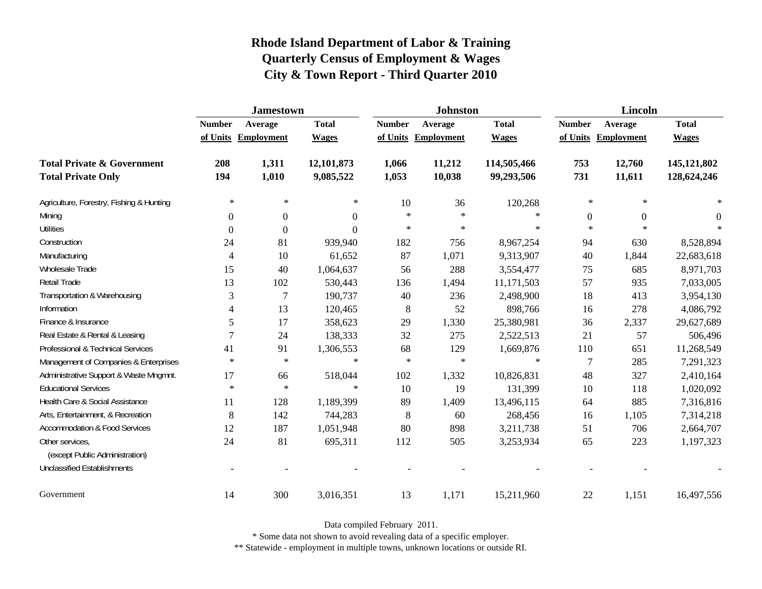|                                                   | <b>Jamestown</b> |                     |                |               | <b>Johnston</b>   |              | Lincoln          |                     |              |
|---------------------------------------------------|------------------|---------------------|----------------|---------------|-------------------|--------------|------------------|---------------------|--------------|
|                                                   | <b>Number</b>    | Average             | <b>Total</b>   | <b>Number</b> | Average           | <b>Total</b> | <b>Number</b>    | Average             | <b>Total</b> |
|                                                   |                  | of Units Employment | <b>Wages</b>   | of Units      | <b>Employment</b> | <b>Wages</b> |                  | of Units Employment | <b>Wages</b> |
| <b>Total Private &amp; Government</b>             | 208              | 1,311               | 12,101,873     | 1,066         | 11,212            | 114,505,466  | 753              | 12,760              | 145,121,802  |
| <b>Total Private Only</b>                         | 194              | 1,010               | 9,085,522      | 1,053         | 10,038            | 99,293,506   | 731              | 11,611              | 128,624,246  |
| Agriculture, Forestry, Fishing & Hunting          | $\ast$           | $\ast$              | $\ast$         | 10            | 36                | 120,268      | $\ast$           | $\ast$              |              |
| Mining                                            | $\Omega$         | $\boldsymbol{0}$    | $\overline{0}$ | $\star$       | $\ast$            | $\ast$       | $\boldsymbol{0}$ | $\Omega$            | $\theta$     |
| <b>Utilities</b>                                  | $\Omega$         | $\Omega$            | $\overline{0}$ | $\ast$        | $\ast$            | $\ast$       | $\ast$           | $\ast$              |              |
| Construction                                      | 24               | 81                  | 939,940        | 182           | 756               | 8,967,254    | 94               | 630                 | 8,528,894    |
| Manufacturing                                     | 4                | 10                  | 61,652         | 87            | 1,071             | 9,313,907    | 40               | 1,844               | 22,683,618   |
| Wholesale Trade                                   | 15               | 40                  | 1,064,637      | 56            | 288               | 3,554,477    | 75               | 685                 | 8,971,703    |
| Retail Trade                                      | 13               | 102                 | 530,443        | 136           | 1,494             | 11,171,503   | 57               | 935                 | 7,033,005    |
| Transportation & Warehousing                      | 3                | 7                   | 190,737        | 40            | 236               | 2,498,900    | 18               | 413                 | 3,954,130    |
| Information                                       | 4                | 13                  | 120,465        | 8             | 52                | 898,766      | 16               | 278                 | 4,086,792    |
| Finance & Insurance                               | 5                | 17                  | 358,623        | 29            | 1,330             | 25,380,981   | 36               | 2,337               | 29,627,689   |
| Real Estate & Rental & Leasing                    | 7                | 24                  | 138,333        | 32            | 275               | 2,522,513    | 21               | 57                  | 506,496      |
| Professional & Technical Services                 | 41               | 91                  | 1,306,553      | 68            | 129               | 1,669,876    | 110              | 651                 | 11,268,549   |
| Management of Companies & Enterprises             | $\ast$           | $\ast$              | $\ast$         | $\ast$        | $\ast$            | $\ast$       | $\overline{7}$   | 285                 | 7,291,323    |
| Administrative Support & Waste Mngmnt.            | 17               | 66                  | 518,044        | 102           | 1,332             | 10,826,831   | 48               | 327                 | 2,410,164    |
| <b>Educational Services</b>                       | $\ast$           | $\ast$              | $\ast$         | 10            | 19                | 131,399      | 10               | 118                 | 1,020,092    |
| Health Care & Social Assistance                   | 11               | 128                 | 1,189,399      | 89            | 1,409             | 13,496,115   | 64               | 885                 | 7,316,816    |
| Arts, Entertainment, & Recreation                 | 8                | 142                 | 744,283        | 8             | 60                | 268,456      | 16               | 1,105               | 7,314,218    |
| <b>Accommodation &amp; Food Services</b>          | 12               | 187                 | 1,051,948      | 80            | 898               | 3,211,738    | 51               | 706                 | 2,664,707    |
| Other services,<br>(except Public Administration) | 24               | 81                  | 695,311        | 112           | 505               | 3,253,934    | 65               | 223                 | 1,197,323    |
| <b>Unclassified Establishments</b>                |                  |                     |                |               |                   |              |                  |                     |              |
| Government                                        | 14               | 300                 | 3,016,351      | 13            | 1,171             | 15,211,960   | 22               | 1,151               | 16,497,556   |

Data compiled February 2011.

\* Some data not shown to avoid revealing data of a specific employer.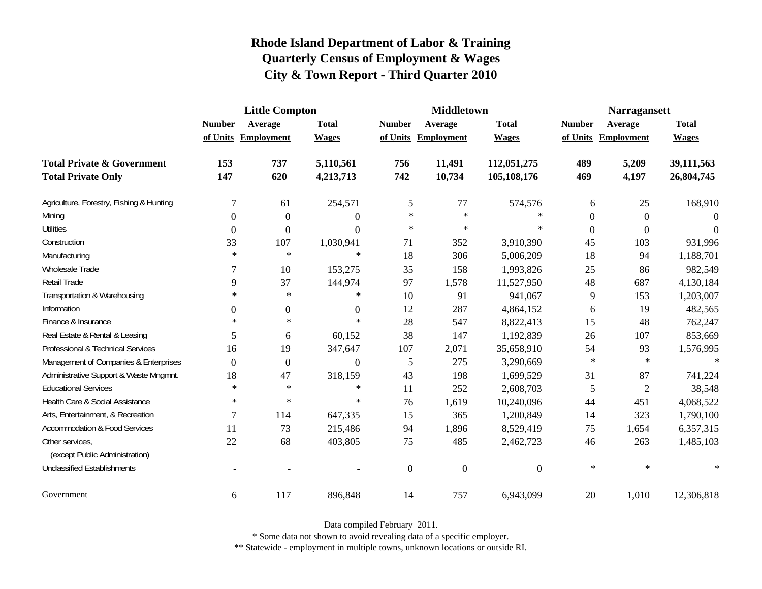|                                                   | <b>Little Compton</b> |                     |                  |               | <b>Middletown</b>   |              | <b>Narragansett</b> |                     |              |
|---------------------------------------------------|-----------------------|---------------------|------------------|---------------|---------------------|--------------|---------------------|---------------------|--------------|
|                                                   | <b>Number</b>         | Average             | <b>Total</b>     | <b>Number</b> | Average             | <b>Total</b> | <b>Number</b>       | Average             | <b>Total</b> |
|                                                   |                       | of Units Employment | <b>Wages</b>     |               | of Units Employment | <b>Wages</b> |                     | of Units Employment | <b>Wages</b> |
| <b>Total Private &amp; Government</b>             | 153                   | 737                 | 5,110,561        | 756           | 11,491              | 112,051,275  | 489                 | 5,209               | 39,111,563   |
| <b>Total Private Only</b>                         | 147                   | 620                 | 4,213,713        | 742           | 10,734              | 105,108,176  | 469                 | 4,197               | 26,804,745   |
| Agriculture, Forestry, Fishing & Hunting          | $\overline{7}$        | 61                  | 254,571          | 5             | 77                  | 574,576      | 6                   | 25                  | 168,910      |
| Mining                                            | $\Omega$              | $\boldsymbol{0}$    | $\overline{0}$   | $\ast$        | $\ast$              | $\ast$       | $\boldsymbol{0}$    | $\boldsymbol{0}$    | $\Omega$     |
| <b>Utilities</b>                                  | $\boldsymbol{0}$      | $\boldsymbol{0}$    | $\overline{0}$   | $\ast$        | $\ast$              | $\ast$       | $\boldsymbol{0}$    | $\overline{0}$      | $\Omega$     |
| Construction                                      | 33                    | 107                 | 1,030,941        | 71            | 352                 | 3,910,390    | 45                  | 103                 | 931,996      |
| Manufacturing                                     | $\ast$                | $\ast$              | $\ast$           | 18            | 306                 | 5,006,209    | 18                  | 94                  | 1,188,701    |
| Wholesale Trade                                   | 7                     | 10                  | 153,275          | 35            | 158                 | 1,993,826    | 25                  | 86                  | 982,549      |
| Retail Trade                                      | 9                     | 37                  | 144,974          | 97            | 1,578               | 11,527,950   | 48                  | 687                 | 4,130,184    |
| Transportation & Warehousing                      | $\ast$                | $\ast$              | $\ast$           | 10            | 91                  | 941,067      | $\overline{9}$      | 153                 | 1,203,007    |
| Information                                       | $\boldsymbol{0}$      | $\boldsymbol{0}$    | $\overline{0}$   | 12            | 287                 | 4,864,152    | 6                   | 19                  | 482,565      |
| Finance & Insurance                               | $\ast$                | $\ast$              | $\ast$           | 28            | 547                 | 8,822,413    | 15                  | 48                  | 762,247      |
| Real Estate & Rental & Leasing                    | 5                     | 6                   | 60,152           | 38            | 147                 | 1,192,839    | 26                  | 107                 | 853,669      |
| Professional & Technical Services                 | 16                    | 19                  | 347,647          | 107           | 2,071               | 35,658,910   | 54                  | 93                  | 1,576,995    |
| Management of Companies & Enterprises             | $\overline{0}$        | $\boldsymbol{0}$    | $\boldsymbol{0}$ | 5             | 275                 | 3,290,669    | $\ast$              | $\ast$              | $\ast$       |
| Administrative Support & Waste Mngmnt.            | 18                    | 47                  | 318,159          | 43            | 198                 | 1,699,529    | 31                  | 87                  | 741,224      |
| <b>Educational Services</b>                       | $\ast$                | $\ast$              | $\ast$           | 11            | 252                 | 2,608,703    | 5                   | $\overline{2}$      | 38,548       |
| Health Care & Social Assistance                   | $\ast$                | $\ast$              | $\ast$           | 76            | 1,619               | 10,240,096   | 44                  | 451                 | 4,068,522    |
| Arts, Entertainment, & Recreation                 | $\overline{7}$        | 114                 | 647,335          | 15            | 365                 | 1,200,849    | 14                  | 323                 | 1,790,100    |
| <b>Accommodation &amp; Food Services</b>          | 11                    | 73                  | 215,486          | 94            | 1,896               | 8,529,419    | 75                  | 1,654               | 6,357,315    |
| Other services,<br>(except Public Administration) | 22                    | 68                  | 403,805          | 75            | 485                 | 2,462,723    | 46                  | 263                 | 1,485,103    |
| <b>Unclassified Establishments</b>                |                       |                     |                  | $\mathbf{0}$  | $\boldsymbol{0}$    | $\Omega$     | $\ast$              | $\ast$              | $\ast$       |
| Government                                        | 6                     | 117                 | 896,848          | 14            | 757                 | 6,943,099    | 20                  | 1,010               | 12,306,818   |

Data compiled February 2011.

\* Some data not shown to avoid revealing data of a specific employer.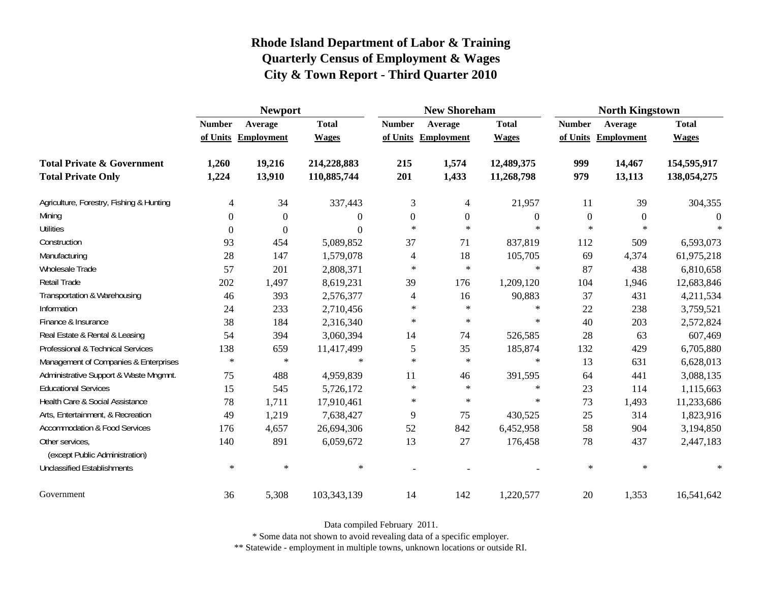|                                                   | <b>Newport</b> |                     |              |                | <b>New Shoreham</b> |                  | <b>North Kingstown</b> |                     |              |  |
|---------------------------------------------------|----------------|---------------------|--------------|----------------|---------------------|------------------|------------------------|---------------------|--------------|--|
|                                                   | <b>Number</b>  | Average             | <b>Total</b> | <b>Number</b>  | Average             | <b>Total</b>     | <b>Number</b>          | Average             | <b>Total</b> |  |
|                                                   |                | of Units Employment | <b>Wages</b> |                | of Units Employment | <b>Wages</b>     |                        | of Units Employment | <b>Wages</b> |  |
| <b>Total Private &amp; Government</b>             | 1,260          | 19,216              | 214,228,883  | 215            | 1,574               | 12,489,375       | 999                    | 14,467              | 154,595,917  |  |
| <b>Total Private Only</b>                         | 1,224          | 13,910              | 110,885,744  | 201            | 1,433               | 11,268,798       | 979                    | 13,113              | 138,054,275  |  |
| Agriculture, Forestry, Fishing & Hunting          | 4              | 34                  | 337,443      | 3              | $\overline{4}$      | 21,957           | 11                     | 39                  | 304,355      |  |
| Mining                                            | $\Omega$       | $\theta$            | $\theta$     | $\mathbf{0}$   | $\boldsymbol{0}$    | $\boldsymbol{0}$ | $\overline{0}$         | $\overline{0}$      | $\Omega$     |  |
| <b>Utilities</b>                                  | $\Omega$       | $\theta$            | $\Omega$     | $\ast$         | $\ast$              | $\ast$           | $\ast$                 | $\ast$              |              |  |
| Construction                                      | 93             | 454                 | 5,089,852    | 37             | 71                  | 837,819          | 112                    | 509                 | 6,593,073    |  |
| Manufacturing                                     | 28             | 147                 | 1,579,078    | 4              | 18                  | 105,705          | 69                     | 4,374               | 61,975,218   |  |
| Wholesale Trade                                   | 57             | 201                 | 2,808,371    | $\ast$         | $\ast$              | $\ast$           | 87                     | 438                 | 6,810,658    |  |
| Retail Trade                                      | 202            | 1,497               | 8,619,231    | 39             | 176                 | 1,209,120        | 104                    | 1,946               | 12,683,846   |  |
| Transportation & Warehousing                      | 46             | 393                 | 2,576,377    | $\overline{4}$ | 16                  | 90,883           | 37                     | 431                 | 4,211,534    |  |
| Information                                       | 24             | 233                 | 2,710,456    | $\ast$         | $\ast$              | $\ast$           | 22                     | 238                 | 3,759,521    |  |
| Finance & Insurance                               | 38             | 184                 | 2,316,340    | $\star$        | $\ast$              | $\ast$           | 40                     | 203                 | 2,572,824    |  |
| Real Estate & Rental & Leasing                    | 54             | 394                 | 3,060,394    | 14             | 74                  | 526,585          | 28                     | 63                  | 607,469      |  |
| Professional & Technical Services                 | 138            | 659                 | 11,417,499   | 5              | 35                  | 185,874          | 132                    | 429                 | 6,705,880    |  |
| Management of Companies & Enterprises             | $\ast$         | $\ast$              | $\ast$       | $\ast$         | $\ast$              | $\ast$           | 13                     | 631                 | 6,628,013    |  |
| Administrative Support & Waste Mngmnt.            | 75             | 488                 | 4,959,839    | 11             | 46                  | 391,595          | 64                     | 441                 | 3,088,135    |  |
| <b>Educational Services</b>                       | 15             | 545                 | 5,726,172    | $\ast$         | $\ast$              | $\ast$           | 23                     | 114                 | 1,115,663    |  |
| Health Care & Social Assistance                   | 78             | 1,711               | 17,910,461   | $\ast$         | $\ast$              | $\ast$           | 73                     | 1,493               | 11,233,686   |  |
| Arts, Entertainment, & Recreation                 | 49             | 1,219               | 7,638,427    | 9              | 75                  | 430,525          | 25                     | 314                 | 1,823,916    |  |
| <b>Accommodation &amp; Food Services</b>          | 176            | 4,657               | 26,694,306   | 52             | 842                 | 6,452,958        | 58                     | 904                 | 3,194,850    |  |
| Other services,<br>(except Public Administration) | 140            | 891                 | 6,059,672    | 13             | 27                  | 176,458          | 78                     | 437                 | 2,447,183    |  |
| <b>Unclassified Establishments</b>                | $\ast$         | $\ast$              | $\ast$       |                |                     |                  | $\ast$                 | $\ast$              | $\ast$       |  |
| Government                                        | 36             | 5,308               | 103,343,139  | 14             | 142                 | 1,220,577        | 20                     | 1,353               | 16,541,642   |  |

Data compiled February 2011.

\* Some data not shown to avoid revealing data of a specific employer.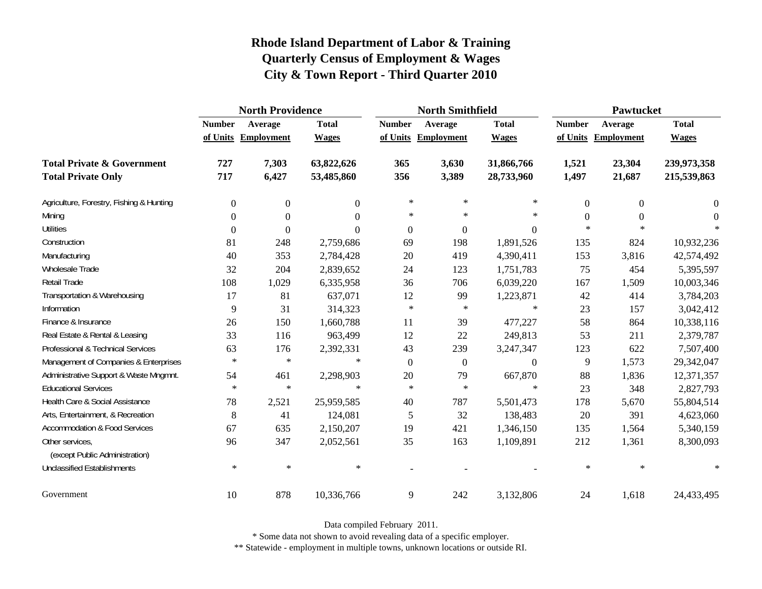|                                                   | <b>North Providence</b> |                     |                |                | <b>North Smithfield</b> |                | <b>Pawtucket</b> |                     |              |
|---------------------------------------------------|-------------------------|---------------------|----------------|----------------|-------------------------|----------------|------------------|---------------------|--------------|
|                                                   | <b>Number</b>           | Average             | <b>Total</b>   | <b>Number</b>  | Average                 | <b>Total</b>   | <b>Number</b>    | Average             | <b>Total</b> |
|                                                   |                         | of Units Employment | <b>Wages</b>   |                | of Units Employment     | <b>Wages</b>   |                  | of Units Employment | <b>Wages</b> |
| <b>Total Private &amp; Government</b>             | 727                     | 7,303               | 63,822,626     | 365            | 3,630                   | 31,866,766     | 1,521            | 23,304              | 239,973,358  |
| <b>Total Private Only</b>                         | 717                     | 6,427               | 53,485,860     | 356            | 3,389                   | 28,733,960     | 1,497            | 21,687              | 215,539,863  |
| Agriculture, Forestry, Fishing & Hunting          | $\boldsymbol{0}$        | $\overline{0}$      | $\overline{0}$ | $\ast$         | $\ast$                  | $\ast$         | $\theta$         | $\theta$            | $\theta$     |
| Mining                                            | $\boldsymbol{0}$        | $\Omega$            | $\Omega$       | $\ast$         | $\ast$                  | $\ast$         | $\theta$         | $\Omega$            | $\theta$     |
| <b>Utilities</b>                                  | $\boldsymbol{0}$        | $\Omega$            | $\Omega$       | $\overline{0}$ | $\boldsymbol{0}$        | $\overline{0}$ | $\ast$           | $\ast$              |              |
| Construction                                      | 81                      | 248                 | 2,759,686      | 69             | 198                     | 1,891,526      | 135              | 824                 | 10,932,236   |
| Manufacturing                                     | 40                      | 353                 | 2,784,428      | 20             | 419                     | 4,390,411      | 153              | 3,816               | 42,574,492   |
| Wholesale Trade                                   | 32                      | 204                 | 2,839,652      | 24             | 123                     | 1,751,783      | 75               | 454                 | 5,395,597    |
| Retail Trade                                      | 108                     | 1,029               | 6,335,958      | 36             | 706                     | 6,039,220      | 167              | 1,509               | 10,003,346   |
| Transportation & Warehousing                      | 17                      | 81                  | 637,071        | 12             | 99                      | 1,223,871      | 42               | 414                 | 3,784,203    |
| Information                                       | 9                       | 31                  | 314,323        | $\ast$         | $\ast$                  | $\ast$         | 23               | 157                 | 3,042,412    |
| Finance & Insurance                               | 26                      | 150                 | 1,660,788      | 11             | 39                      | 477,227        | 58               | 864                 | 10,338,116   |
| Real Estate & Rental & Leasing                    | 33                      | 116                 | 963,499        | 12             | 22                      | 249,813        | 53               | 211                 | 2,379,787    |
| Professional & Technical Services                 | 63                      | 176                 | 2,392,331      | 43             | 239                     | 3,247,347      | 123              | 622                 | 7,507,400    |
| Management of Companies & Enterprises             | $\ast$                  | $\ast$              | $\ast$         | $\mathbf{0}$   | $\boldsymbol{0}$        | $\overline{0}$ | 9                | 1,573               | 29,342,047   |
| Administrative Support & Waste Mngmnt.            | 54                      | 461                 | 2,298,903      | 20             | 79                      | 667,870        | 88               | 1,836               | 12,371,357   |
| <b>Educational Services</b>                       | $\ast$                  | $\ast$              | $\ast$         | $\ast$         | $\ast$                  | $\ast$         | 23               | 348                 | 2,827,793    |
| Health Care & Social Assistance                   | 78                      | 2,521               | 25,959,585     | 40             | 787                     | 5,501,473      | 178              | 5,670               | 55,804,514   |
| Arts, Entertainment, & Recreation                 | 8                       | 41                  | 124,081        | 5              | 32                      | 138,483        | 20               | 391                 | 4,623,060    |
| <b>Accommodation &amp; Food Services</b>          | 67                      | 635                 | 2,150,207      | 19             | 421                     | 1,346,150      | 135              | 1,564               | 5,340,159    |
| Other services,<br>(except Public Administration) | 96                      | 347                 | 2,052,561      | 35             | 163                     | 1,109,891      | 212              | 1,361               | 8,300,093    |
| <b>Unclassified Establishments</b>                | $\ast$                  | $\ast$              | $\ast$         |                |                         |                | $\ast$           | $\ast$              | $\ast$       |
| Government                                        | 10                      | 878                 | 10,336,766     | 9              | 242                     | 3,132,806      | 24               | 1,618               | 24,433,495   |

Data compiled February 2011.

\* Some data not shown to avoid revealing data of a specific employer.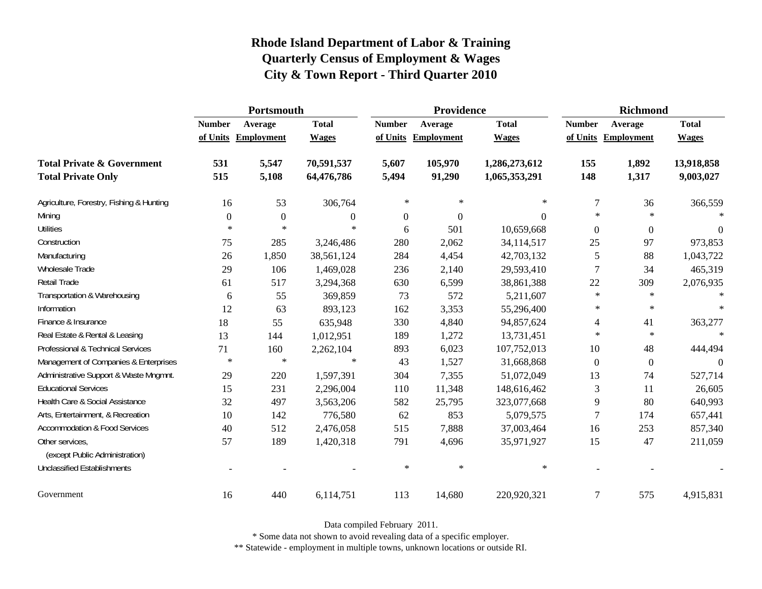|                                                   | Portsmouth    |                     |                  |               | Providence          |               | <b>Richmond</b> |                     |              |
|---------------------------------------------------|---------------|---------------------|------------------|---------------|---------------------|---------------|-----------------|---------------------|--------------|
|                                                   | <b>Number</b> | Average             | <b>Total</b>     | <b>Number</b> | Average             | <b>Total</b>  | <b>Number</b>   | Average             | <b>Total</b> |
|                                                   |               | of Units Employment | <b>Wages</b>     |               | of Units Employment | <b>Wages</b>  |                 | of Units Employment | <b>Wages</b> |
| <b>Total Private &amp; Government</b>             | 531           | 5,547               | 70,591,537       | 5,607         | 105,970             | 1,286,273,612 | 155             | 1,892               | 13,918,858   |
| <b>Total Private Only</b>                         | 515           | 5,108               | 64,476,786       | 5,494         | 91,290              | 1,065,353,291 | 148             | 1,317               | 9,003,027    |
| Agriculture, Forestry, Fishing & Hunting          | 16            | 53                  | 306,764          | $\ast$        | $\ast$              | $\ast$        | 7               | 36                  | 366,559      |
| Mining                                            | $\Omega$      | $\overline{0}$      | $\boldsymbol{0}$ | 0             | $\theta$            | $\Omega$      | $\ast$          | $\ast$              | $\ast$       |
| <b>Utilities</b>                                  | $\ast$        | $\ast$              | $\ast$           | 6             | 501                 | 10,659,668    | $\Omega$        | $\theta$            | $\Omega$     |
| Construction                                      | 75            | 285                 | 3,246,486        | 280           | 2,062               | 34,114,517    | 25              | 97                  | 973,853      |
| Manufacturing                                     | 26            | 1,850               | 38,561,124       | 284           | 4,454               | 42,703,132    | 5               | 88                  | 1,043,722    |
| Wholesale Trade                                   | 29            | 106                 | 1,469,028        | 236           | 2,140               | 29,593,410    | 7               | 34                  | 465,319      |
| <b>Retail Trade</b>                               | 61            | 517                 | 3,294,368        | 630           | 6,599               | 38,861,388    | 22              | 309                 | 2,076,935    |
| Transportation & Warehousing                      | 6             | 55                  | 369,859          | 73            | 572                 | 5,211,607     | $\ast$          | $\ast$              | $\ast$       |
| Information                                       | 12            | 63                  | 893,123          | 162           | 3,353               | 55,296,400    | $\ast$          | $\ast$              | $\ast$       |
| Finance & Insurance                               | 18            | 55                  | 635,948          | 330           | 4,840               | 94,857,624    | 4               | 41                  | 363,277      |
| Real Estate & Rental & Leasing                    | 13            | 144                 | 1,012,951        | 189           | 1,272               | 13,731,451    | $\ast$          | $\ast$              | $\star$      |
| Professional & Technical Services                 | 71            | 160                 | 2,262,104        | 893           | 6,023               | 107,752,013   | 10              | 48                  | 444,494      |
| Management of Companies & Enterprises             | $\ast$        | $\ast$              | $\ast$           | 43            | 1,527               | 31,668,868    | $\Omega$        | $\mathbf{0}$        | $\Omega$     |
| Administrative Support & Waste Mngmnt.            | 29            | 220                 | 1,597,391        | 304           | 7,355               | 51,072,049    | 13              | 74                  | 527,714      |
| <b>Educational Services</b>                       | 15            | 231                 | 2,296,004        | 110           | 11,348              | 148,616,462   | 3               | 11                  | 26,605       |
| Health Care & Social Assistance                   | 32            | 497                 | 3,563,206        | 582           | 25,795              | 323,077,668   | 9               | 80                  | 640,993      |
| Arts, Entertainment, & Recreation                 | 10            | 142                 | 776,580          | 62            | 853                 | 5,079,575     | 7               | 174                 | 657,441      |
| <b>Accommodation &amp; Food Services</b>          | 40            | 512                 | 2,476,058        | 515           | 7,888               | 37,003,464    | 16              | 253                 | 857,340      |
| Other services,<br>(except Public Administration) | 57            | 189                 | 1,420,318        | 791           | 4,696               | 35,971,927    | 15              | 47                  | 211,059      |
| <b>Unclassified Establishments</b>                |               |                     |                  | $\ast$        | $\ast$              | $\ast$        |                 |                     |              |
| Government                                        | 16            | 440                 | 6,114,751        | 113           | 14,680              | 220,920,321   | 7               | 575                 | 4,915,831    |

Data compiled February 2011.

\* Some data not shown to avoid revealing data of a specific employer.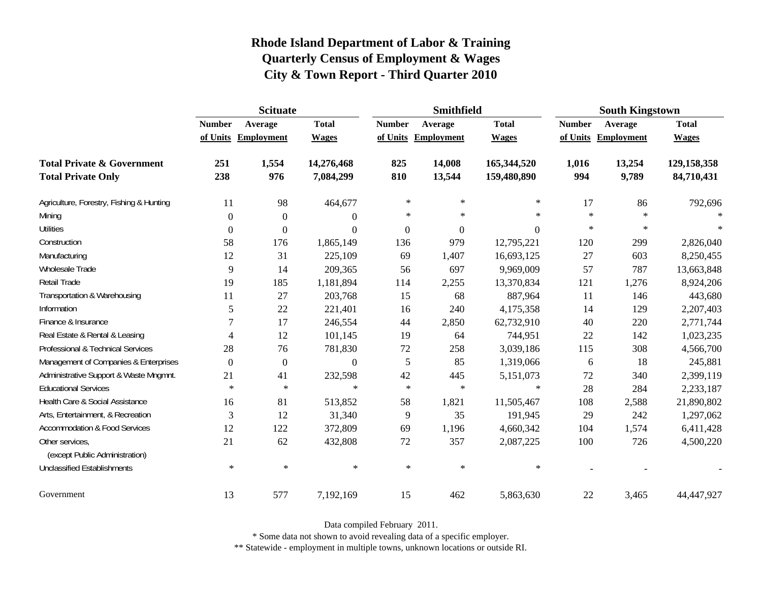|                                          | <b>Scituate</b> |                     |                  |                  | <b>Smithfield</b>   |                  | <b>South Kingstown</b> |            |              |
|------------------------------------------|-----------------|---------------------|------------------|------------------|---------------------|------------------|------------------------|------------|--------------|
|                                          | <b>Number</b>   | Average             | <b>Total</b>     | <b>Number</b>    | Average             | <b>Total</b>     | <b>Number</b>          | Average    | <b>Total</b> |
|                                          |                 | of Units Employment | <b>Wages</b>     |                  | of Units Employment | <b>Wages</b>     | of Units               | Employment | <b>Wages</b> |
| <b>Total Private &amp; Government</b>    | 251             | 1,554               | 14,276,468       | 825              | 14,008              | 165,344,520      | 1,016                  | 13,254     | 129,158,358  |
| <b>Total Private Only</b>                | 238             | 976                 | 7,084,299        | 810              | 13,544              | 159,480,890      | 994                    | 9,789      | 84,710,431   |
| Agriculture, Forestry, Fishing & Hunting | 11              | 98                  | 464,677          | $\ast$           | $\ast$              | $\ast$           | 17                     | 86         | 792,696      |
| Mining                                   | $\Omega$        | $\theta$            | $\overline{0}$   | $\ast$           | $\ast$              | $\ast$           | $\ast$                 | $\ast$     |              |
| <b>Utilities</b>                         | $\Omega$        | $\Omega$            | $\boldsymbol{0}$ | $\boldsymbol{0}$ | $\Omega$            | $\boldsymbol{0}$ | $\ast$                 | $\ast$     | $\ast$       |
| Construction                             | 58              | 176                 | 1,865,149        | 136              | 979                 | 12,795,221       | 120                    | 299        | 2,826,040    |
| Manufacturing                            | 12              | 31                  | 225,109          | 69               | 1,407               | 16,693,125       | 27                     | 603        | 8,250,455    |
| <b>Wholesale Trade</b>                   | 9               | 14                  | 209,365          | 56               | 697                 | 9,969,009        | 57                     | 787        | 13,663,848   |
| Retail Trade                             | 19              | 185                 | 1,181,894        | 114              | 2,255               | 13,370,834       | 121                    | 1,276      | 8,924,206    |
| Transportation & Warehousing             | 11              | 27                  | 203,768          | 15               | 68                  | 887,964          | 11                     | 146        | 443,680      |
| Information                              | 5               | $22\,$              | 221,401          | 16               | 240                 | 4,175,358        | 14                     | 129        | 2,207,403    |
| Finance & Insurance                      | 7               | 17                  | 246,554          | 44               | 2,850               | 62,732,910       | 40                     | 220        | 2,771,744    |
| Real Estate & Rental & Leasing           | 4               | 12                  | 101,145          | 19               | 64                  | 744,951          | 22                     | 142        | 1,023,235    |
| Professional & Technical Services        | 28              | 76                  | 781,830          | $72\,$           | 258                 | 3,039,186        | 115                    | 308        | 4,566,700    |
| Management of Companies & Enterprises    | $\Omega$        | $\boldsymbol{0}$    | $\boldsymbol{0}$ | 5                | 85                  | 1,319,066        | 6                      | 18         | 245,881      |
| Administrative Support & Waste Mngmnt.   | 21              | 41                  | 232,598          | 42               | 445                 | 5,151,073        | 72                     | 340        | 2,399,119    |
| <b>Educational Services</b>              | $\ast$          | $\ast$              | $\ast$           | $\star$          | $\ast$              | $\star$          | 28                     | 284        | 2,233,187    |
| Health Care & Social Assistance          | 16              | 81                  | 513,852          | 58               | 1,821               | 11,505,467       | 108                    | 2,588      | 21,890,802   |
| Arts, Entertainment, & Recreation        | 3               | 12                  | 31,340           | 9                | 35                  | 191,945          | 29                     | 242        | 1,297,062    |
| <b>Accommodation &amp; Food Services</b> | 12              | 122                 | 372,809          | 69               | 1,196               | 4,660,342        | 104                    | 1,574      | 6,411,428    |
| Other services,                          | 21              | 62                  | 432,808          | $72\,$           | 357                 | 2,087,225        | 100                    | 726        | 4,500,220    |
| (except Public Administration)           |                 |                     |                  |                  |                     |                  |                        |            |              |
| <b>Unclassified Establishments</b>       | $\ast$          | $\ast$              | $\ast$           | $\ast$           | $\ast$              | $\ast$           |                        |            |              |
| Government                               | 13              | 577                 | 7,192,169        | 15               | 462                 | 5,863,630        | $22\,$                 | 3,465      | 44,447,927   |

Data compiled February 2011.

\* Some data not shown to avoid revealing data of a specific employer.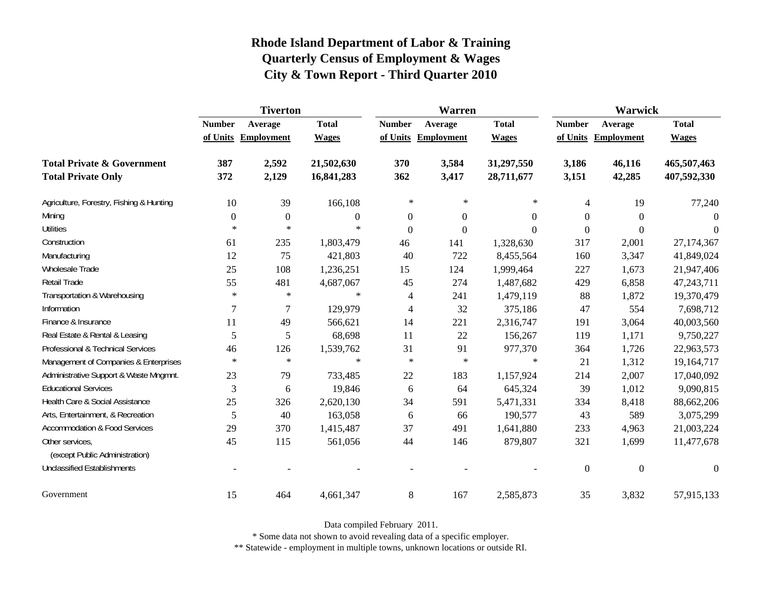|                                                   | <b>Tiverton</b>  |                     |                |                | Warren              |                  | Warwick        |                     |              |
|---------------------------------------------------|------------------|---------------------|----------------|----------------|---------------------|------------------|----------------|---------------------|--------------|
|                                                   | <b>Number</b>    | Average             | <b>Total</b>   | <b>Number</b>  | Average             | <b>Total</b>     | <b>Number</b>  | Average             | <b>Total</b> |
|                                                   |                  | of Units Employment | <b>Wages</b>   |                | of Units Employment | <b>Wages</b>     |                | of Units Employment | <b>Wages</b> |
| <b>Total Private &amp; Government</b>             | 387              | 2,592               | 21,502,630     | 370            | 3,584               | 31,297,550       | 3,186          | 46,116              | 465,507,463  |
| <b>Total Private Only</b>                         | 372              | 2,129               | 16,841,283     | 362            | 3,417               | 28,711,677       | 3,151          | 42,285              | 407,592,330  |
| Agriculture, Forestry, Fishing & Hunting          | 10               | 39                  | 166,108        | $\ast$         | ∗                   | $\ast$           | 4              | 19                  | 77,240       |
| Mining                                            | $\boldsymbol{0}$ | $\mathbf{0}$        | $\overline{0}$ | $\mathbf{0}$   | $\overline{0}$      | $\boldsymbol{0}$ | $\theta$       | $\theta$            | $\Omega$     |
| <b>Utilities</b>                                  | $\ast$           | $\ast$              | $\ast$         | $\overline{0}$ | $\boldsymbol{0}$    | $\theta$         | $\Omega$       | $\boldsymbol{0}$    | $\Omega$     |
| Construction                                      | 61               | 235                 | 1,803,479      | 46             | 141                 | 1,328,630        | 317            | 2,001               | 27,174,367   |
| Manufacturing                                     | 12               | 75                  | 421,803        | 40             | 722                 | 8,455,564        | 160            | 3,347               | 41,849,024   |
| Wholesale Trade                                   | 25               | 108                 | 1,236,251      | 15             | 124                 | 1,999,464        | 227            | 1,673               | 21,947,406   |
| Retail Trade                                      | 55               | 481                 | 4,687,067      | 45             | 274                 | 1,487,682        | 429            | 6,858               | 47,243,711   |
| Transportation & Warehousing                      | $\ast$           | $\ast$              | $\ast$         | 4              | 241                 | 1,479,119        | 88             | 1,872               | 19,370,479   |
| Information                                       | 7                | 7                   | 129,979        | 4              | 32                  | 375,186          | 47             | 554                 | 7,698,712    |
| Finance & Insurance                               | 11               | 49                  | 566,621        | 14             | 221                 | 2,316,747        | 191            | 3,064               | 40,003,560   |
| Real Estate & Rental & Leasing                    | 5                | 5                   | 68,698         | 11             | 22                  | 156,267          | 119            | 1,171               | 9,750,227    |
| Professional & Technical Services                 | 46               | 126                 | 1,539,762      | 31             | 91                  | 977,370          | 364            | 1,726               | 22,963,573   |
| Management of Companies & Enterprises             | $\ast$           | $\ast$              | $\ast$         | $\ast$         | $\ast$              | $\ast$           | 21             | 1,312               | 19,164,717   |
| Administrative Support & Waste Mngmnt.            | 23               | 79                  | 733,485        | 22             | 183                 | 1,157,924        | 214            | 2,007               | 17,040,092   |
| <b>Educational Services</b>                       | 3                | 6                   | 19,846         | 6              | 64                  | 645,324          | 39             | 1,012               | 9,090,815    |
| Health Care & Social Assistance                   | 25               | 326                 | 2,620,130      | 34             | 591                 | 5,471,331        | 334            | 8,418               | 88,662,206   |
| Arts, Entertainment, & Recreation                 | 5                | 40                  | 163,058        | 6              | 66                  | 190,577          | 43             | 589                 | 3,075,299    |
| <b>Accommodation &amp; Food Services</b>          | 29               | 370                 | 1,415,487      | 37             | 491                 | 1,641,880        | 233            | 4,963               | 21,003,224   |
| Other services,<br>(except Public Administration) | 45               | 115                 | 561,056        | 44             | 146                 | 879,807          | 321            | 1,699               | 11,477,678   |
| <b>Unclassified Establishments</b>                |                  |                     |                |                |                     |                  | $\overline{0}$ | $\overline{0}$      | $\theta$     |
| Government                                        | 15               | 464                 | 4,661,347      | 8              | 167                 | 2,585,873        | 35             | 3,832               | 57,915,133   |

Data compiled February 2011.

\* Some data not shown to avoid revealing data of a specific employer.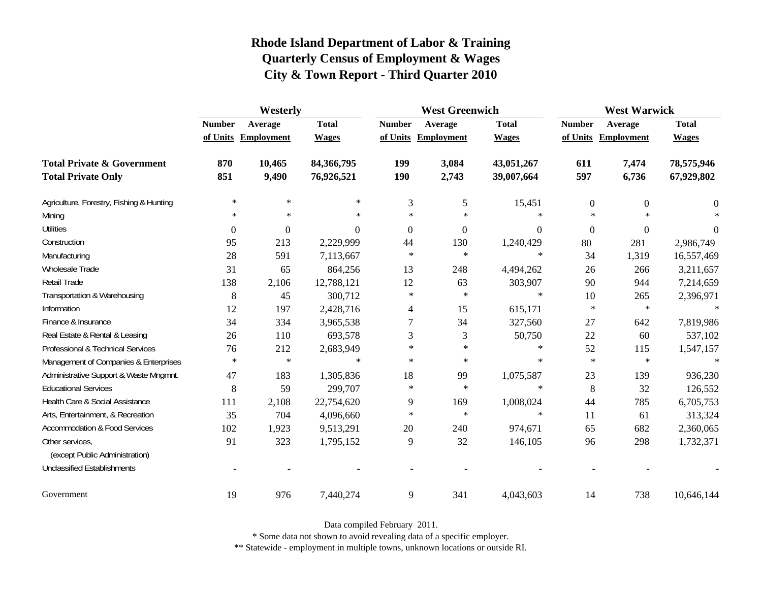|                                                   | Westerly      |                     |              |               | <b>West Greenwich</b> |              |                  | <b>West Warwick</b> |              |  |
|---------------------------------------------------|---------------|---------------------|--------------|---------------|-----------------------|--------------|------------------|---------------------|--------------|--|
|                                                   | <b>Number</b> | Average             | <b>Total</b> | <b>Number</b> | Average               | <b>Total</b> | <b>Number</b>    | Average             | <b>Total</b> |  |
|                                                   |               | of Units Employment | <b>Wages</b> |               | of Units Employment   | <b>Wages</b> |                  | of Units Employment | <b>Wages</b> |  |
| <b>Total Private &amp; Government</b>             | 870           | 10,465              | 84,366,795   | 199           | 3,084                 | 43,051,267   | 611              | 7,474               | 78,575,946   |  |
| <b>Total Private Only</b>                         | 851           | 9,490               | 76,926,521   | <b>190</b>    | 2,743                 | 39,007,664   | 597              | 6,736               | 67,929,802   |  |
| Agriculture, Forestry, Fishing & Hunting          | $\ast$        | $\ast$              | $\ast$       | 3             | 5                     | 15,451       | $\boldsymbol{0}$ | $\boldsymbol{0}$    | $\theta$     |  |
| Mining                                            | $\ast$        | $\ast$              | $\ast$       | $\ast$        | $\ast$                | $\ast$       | $\ast$           | $\ast$              |              |  |
| <b>Utilities</b>                                  | $\theta$      | $\boldsymbol{0}$    | $\Omega$     | $\theta$      | $\boldsymbol{0}$      | $\Omega$     | $\overline{0}$   | $\overline{0}$      | $\theta$     |  |
| Construction                                      | 95            | 213                 | 2,229,999    | 44            | 130                   | 1,240,429    | 80               | 281                 | 2,986,749    |  |
| Manufacturing                                     | 28            | 591                 | 7,113,667    | $\ast$        | $\ast$                | $\ast$       | 34               | 1,319               | 16,557,469   |  |
| Wholesale Trade                                   | 31            | 65                  | 864,256      | 13            | 248                   | 4,494,262    | 26               | 266                 | 3,211,657    |  |
| <b>Retail Trade</b>                               | 138           | 2,106               | 12,788,121   | 12            | 63                    | 303,907      | 90               | 944                 | 7,214,659    |  |
| Transportation & Warehousing                      | 8             | 45                  | 300,712      | $\ast$        | $\ast$                | $\ast$       | 10               | 265                 | 2,396,971    |  |
| Information                                       | 12            | 197                 | 2,428,716    | 4             | 15                    | 615,171      | $\ast$           | $\ast$              | $\ast$       |  |
| Finance & Insurance                               | 34            | 334                 | 3,965,538    | $\tau$        | 34                    | 327,560      | 27               | 642                 | 7,819,986    |  |
| Real Estate & Rental & Leasing                    | 26            | 110                 | 693,578      | 3             | 3                     | 50,750       | 22               | 60                  | 537,102      |  |
| Professional & Technical Services                 | 76            | 212                 | 2,683,949    | $\ast$        | $\ast$                | $\ast$       | 52               | 115                 | 1,547,157    |  |
| Management of Companies & Enterprises             | $\ast$        | $\ast$              | $\ast$       | $\ast$        | $\ast$                | $\ast$       | $\ast$           | $\ast$              | $\ast$       |  |
| Administrative Support & Waste Mngmnt.            | 47            | 183                 | 1,305,836    | 18            | 99                    | 1,075,587    | 23               | 139                 | 936,230      |  |
| <b>Educational Services</b>                       | 8             | 59                  | 299,707      | $\ast$        | $\ast$                | $\ast$       | $\, 8$           | 32                  | 126,552      |  |
| Health Care & Social Assistance                   | 111           | 2,108               | 22,754,620   | 9             | 169                   | 1,008,024    | 44               | 785                 | 6,705,753    |  |
| Arts, Entertainment, & Recreation                 | 35            | 704                 | 4,096,660    | $\ast$        | $\ast$                | $\ast$       | 11               | 61                  | 313,324      |  |
| <b>Accommodation &amp; Food Services</b>          | 102           | 1,923               | 9,513,291    | 20            | 240                   | 974,671      | 65               | 682                 | 2,360,065    |  |
| Other services,<br>(except Public Administration) | 91            | 323                 | 1,795,152    | 9             | 32                    | 146,105      | 96               | 298                 | 1,732,371    |  |
| <b>Unclassified Establishments</b>                |               |                     |              |               |                       |              |                  |                     |              |  |
| Government                                        | 19            | 976                 | 7,440,274    | $\mathbf{9}$  | 341                   | 4,043,603    | 14               | 738                 | 10,646,144   |  |

Data compiled February 2011.

\* Some data not shown to avoid revealing data of a specific employer.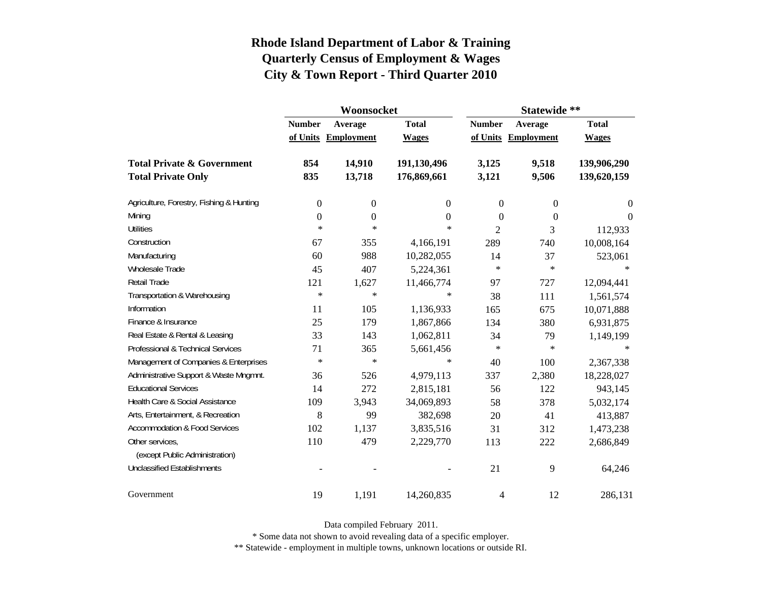|                                          |                  | Woonsocket        |                | Statewide **   |                   |                  |  |
|------------------------------------------|------------------|-------------------|----------------|----------------|-------------------|------------------|--|
|                                          | <b>Number</b>    | Average           | <b>Total</b>   | <b>Number</b>  | Average           | <b>Total</b>     |  |
|                                          | of Units         | <b>Employment</b> | <b>Wages</b>   | of Units       | <b>Employment</b> | <b>Wages</b>     |  |
| <b>Total Private &amp; Government</b>    | 854              | 14,910            | 191,130,496    | 3,125          | 9,518             | 139,906,290      |  |
| <b>Total Private Only</b>                | 835              | 13,718            | 176,869,661    | 3,121          | 9,506             | 139,620,159      |  |
| Agriculture, Forestry, Fishing & Hunting | $\boldsymbol{0}$ | $\boldsymbol{0}$  | $\overline{0}$ | $\overline{0}$ | 0                 | $\boldsymbol{0}$ |  |
| Mining                                   | $\boldsymbol{0}$ | $\boldsymbol{0}$  | $\overline{0}$ | $\theta$       | $\overline{0}$    | $\theta$         |  |
| <b>Utilities</b>                         | $\ast$           | $\ast$            | $\ast$         | 2              | 3                 | 112,933          |  |
| Construction                             | 67               | 355               | 4,166,191      | 289            | 740               | 10,008,164       |  |
| Manufacturing                            | 60               | 988               | 10,282,055     | 14             | 37                | 523,061          |  |
| <b>Wholesale Trade</b>                   | 45               | 407               | 5,224,361      | $\ast$         | $\ast$            | ∗                |  |
| Retail Trade                             | 121              | 1,627             | 11,466,774     | 97             | 727               | 12,094,441       |  |
| Transportation & Warehousing             | $\ast$           | $\ast$            | $\ast$         | 38             | 111               | 1,561,574        |  |
| Information                              | 11               | 105               | 1,136,933      | 165            | 675               | 10,071,888       |  |
| Finance & Insurance                      | 25               | 179               | 1,867,866      | 134            | 380               | 6,931,875        |  |
| Real Estate & Rental & Leasing           | 33               | 143               | 1,062,811      | 34             | 79                | 1,149,199        |  |
| Professional & Technical Services        | 71               | 365               | 5,661,456      | $\ast$         | $\ast$            | $\ast$           |  |
| Management of Companies & Enterprises    | $\ast$           | $\ast$            | $\ast$         | 40             | 100               | 2,367,338        |  |
| Administrative Support & Waste Mngmnt.   | 36               | 526               | 4,979,113      | 337            | 2,380             | 18,228,027       |  |
| <b>Educational Services</b>              | 14               | 272               | 2,815,181      | 56             | 122               | 943,145          |  |
| Health Care & Social Assistance          | 109              | 3,943             | 34,069,893     | 58             | 378               | 5,032,174        |  |
| Arts, Entertainment, & Recreation        | 8                | 99                | 382,698        | 20             | 41                | 413,887          |  |
| <b>Accommodation &amp; Food Services</b> | 102              | 1,137             | 3,835,516      | 31             | 312               | 1,473,238        |  |
| Other services,                          | 110              | 479               | 2,229,770      | 113            | 222               | 2,686,849        |  |
| (except Public Administration)           |                  |                   |                |                |                   |                  |  |
| <b>Unclassified Establishments</b>       |                  |                   |                | 21             | 9                 | 64,246           |  |
| Government                               | 19               | 1,191             | 14,260,835     | 4              | 12                | 286,131          |  |

Data compiled February 2011.

\* Some data not shown to avoid revealing data of a specific employer.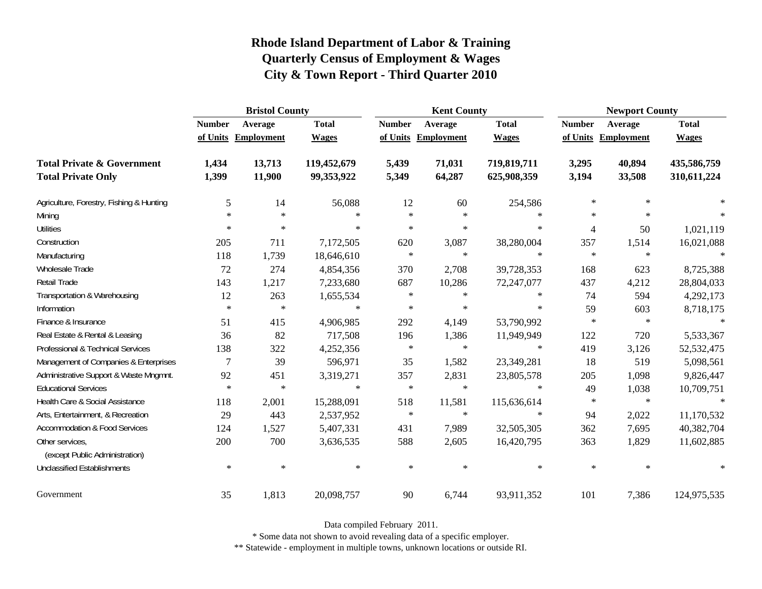|                                                   | <b>Bristol County</b> |                     |              |               | <b>Kent County</b>  |              | <b>Newport County</b> |                   |              |
|---------------------------------------------------|-----------------------|---------------------|--------------|---------------|---------------------|--------------|-----------------------|-------------------|--------------|
|                                                   | <b>Number</b>         | Average             | <b>Total</b> | <b>Number</b> | Average             | <b>Total</b> | <b>Number</b>         | Average           | <b>Total</b> |
|                                                   |                       | of Units Employment | <b>Wages</b> |               | of Units Employment | <b>Wages</b> | of Units              | <b>Employment</b> | <b>Wages</b> |
| <b>Total Private &amp; Government</b>             | 1,434                 | 13,713              | 119,452,679  | 5,439         | 71,031              | 719,819,711  | 3,295                 | 40,894            | 435,586,759  |
| <b>Total Private Only</b>                         | 1,399                 | 11,900              | 99,353,922   | 5,349         | 64,287              | 625,908,359  | 3,194                 | 33,508            | 310,611,224  |
| Agriculture, Forestry, Fishing & Hunting          | 5                     | 14                  | 56,088       | 12            | 60                  | 254,586      | $\ast$                | $\ast$            |              |
| Mining                                            | $\ast$                | $\ast$              | $\ast$       | $\ast$        | $\ast$              | $\ast$       | $\ast$                | $\ast$            | $\ast$       |
| <b>Utilities</b>                                  | $*$                   | $\star$             | $\ast$       | $\star$       | $\ast$              | $\ast$       | $\overline{4}$        | 50                | 1,021,119    |
| Construction                                      | 205                   | 711                 | 7,172,505    | 620           | 3,087               | 38,280,004   | 357                   | 1,514             | 16,021,088   |
| Manufacturing                                     | 118                   | 1,739               | 18,646,610   | $\ast$        | $\ast$              | $\ast$       | $\ast$                | $\ast$            | $\ast$       |
| Wholesale Trade                                   | 72                    | 274                 | 4,854,356    | 370           | 2,708               | 39,728,353   | 168                   | 623               | 8,725,388    |
| Retail Trade                                      | 143                   | 1,217               | 7,233,680    | 687           | 10,286              | 72,247,077   | 437                   | 4,212             | 28,804,033   |
| Transportation & Warehousing                      | 12                    | 263                 | 1,655,534    | $\ast$        | $\ast$              | $\ast$       | 74                    | 594               | 4,292,173    |
| Information                                       | $\ast$                | $\ast$              | $\ast$       | $\ast$        | $\ast$              | $\ast$       | 59                    | 603               | 8,718,175    |
| Finance & Insurance                               | 51                    | 415                 | 4,906,985    | 292           | 4,149               | 53,790,992   | $\ast$                | $\ast$            | $\ast$       |
| Real Estate & Rental & Leasing                    | 36                    | 82                  | 717,508      | 196           | 1,386               | 11,949,949   | 122                   | 720               | 5,533,367    |
| Professional & Technical Services                 | 138                   | 322                 | 4,252,356    | $\ast$        | $\ast$              | $\ast$       | 419                   | 3,126             | 52,532,475   |
| Management of Companies & Enterprises             | 7                     | 39                  | 596,971      | 35            | 1,582               | 23,349,281   | 18                    | 519               | 5,098,561    |
| Administrative Support & Waste Mngmnt.            | 92                    | 451                 | 3,319,271    | 357           | 2,831               | 23,805,578   | 205                   | 1,098             | 9,826,447    |
| <b>Educational Services</b>                       | $\ast$                | $\ast$              | $\ast$       | $\ast$        | $\ast$              | $\ast$       | 49                    | 1,038             | 10,709,751   |
| Health Care & Social Assistance                   | 118                   | 2,001               | 15,288,091   | 518           | 11,581              | 115,636,614  | $\ast$                | $\ast$            | $\ast$       |
| Arts, Entertainment, & Recreation                 | 29                    | 443                 | 2,537,952    | $\ast$        | $\ast$              | $\ast$       | 94                    | 2,022             | 11,170,532   |
| <b>Accommodation &amp; Food Services</b>          | 124                   | 1,527               | 5,407,331    | 431           | 7,989               | 32,505,305   | 362                   | 7,695             | 40,382,704   |
| Other services,<br>(except Public Administration) | 200                   | 700                 | 3,636,535    | 588           | 2,605               | 16,420,795   | 363                   | 1,829             | 11,602,885   |
| <b>Unclassified Establishments</b>                | $\ast$                | $\ast$              | $\ast$       | $\ast$        | $\ast$              | $\ast$       | $\ast$                | $\ast$            | $\ast$       |
| Government                                        | 35                    | 1,813               | 20,098,757   | 90            | 6,744               | 93,911,352   | 101                   | 7,386             | 124,975,535  |

Data compiled February 2011.

\* Some data not shown to avoid revealing data of a specific employer.